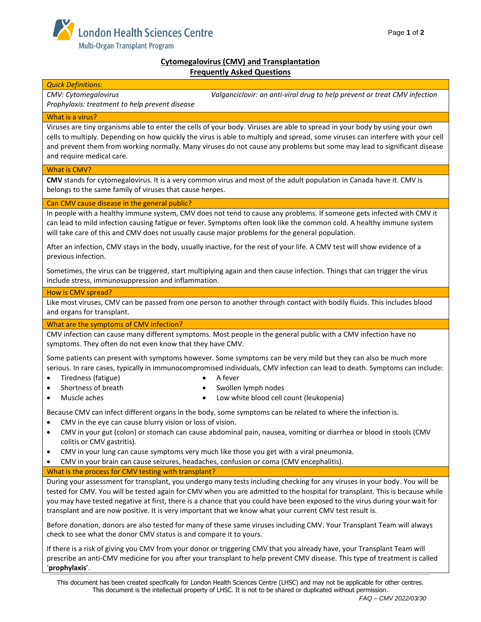

## **Cytomegalovirus (CMV) and Transplantation Frequently Asked Questions**

| <b>Quick Definitions:</b>                                                                                                                                                                                                                                                                                                                                                                                                                                                                             |
|-------------------------------------------------------------------------------------------------------------------------------------------------------------------------------------------------------------------------------------------------------------------------------------------------------------------------------------------------------------------------------------------------------------------------------------------------------------------------------------------------------|
| CMV: Cytomegalovirus<br>Valganciclovir: an anti-viral drug to help prevent or treat CMV infection<br>Prophylaxis: treatment to help prevent disease                                                                                                                                                                                                                                                                                                                                                   |
|                                                                                                                                                                                                                                                                                                                                                                                                                                                                                                       |
| What is a virus?<br>Viruses are tiny organisms able to enter the cells of your body. Viruses are able to spread in your body by using your own<br>cells to multiply. Depending on how quickly the virus is able to multiply and spread, some viruses can interfere with your cell<br>and prevent them from working normally. Many viruses do not cause any problems but some may lead to significant disease<br>and require medical care.                                                             |
| <b>What is CMV?</b>                                                                                                                                                                                                                                                                                                                                                                                                                                                                                   |
| CMV stands for cytomegalovirus. It is a very common virus and most of the adult population in Canada have it. CMV is<br>belongs to the same family of viruses that cause herpes.                                                                                                                                                                                                                                                                                                                      |
| Can CMV cause disease in the general public?                                                                                                                                                                                                                                                                                                                                                                                                                                                          |
| In people with a healthy immune system, CMV does not tend to cause any problems. If someone gets infected with CMV it<br>can lead to mild infection causing fatigue or fever. Symptoms often look like the common cold. A healthy immune system<br>will take care of this and CMV does not usually cause major problems for the general population.                                                                                                                                                   |
| After an infection, CMV stays in the body, usually inactive, for the rest of your life. A CMV test will show evidence of a<br>previous infection.                                                                                                                                                                                                                                                                                                                                                     |
| Sometimes, the virus can be triggered, start multiplying again and then cause infection. Things that can trigger the virus<br>include stress, immunosuppression and inflammation.                                                                                                                                                                                                                                                                                                                     |
| How is CMV spread?                                                                                                                                                                                                                                                                                                                                                                                                                                                                                    |
| Like most viruses, CMV can be passed from one person to another through contact with bodily fluids. This includes blood<br>and organs for transplant.                                                                                                                                                                                                                                                                                                                                                 |
| What are the symptoms of CMV infection?                                                                                                                                                                                                                                                                                                                                                                                                                                                               |
| CMV infection can cause many different symptoms. Most people in the general public with a CMV infection have no<br>symptoms. They often do not even know that they have CMV.                                                                                                                                                                                                                                                                                                                          |
| Some patients can present with symptoms however. Some symptoms can be very mild but they can also be much more<br>serious. In rare cases, typically in immunocompromised individuals, CMV infection can lead to death. Symptoms can include:<br>Tiredness (fatigue)<br>A fever<br>$\bullet$<br>Shortness of breath<br>Swollen lymph nodes<br>$\bullet$<br>$\bullet$<br>Muscle aches<br>Low white blood cell count (leukopenia)<br>$\bullet$<br>$\bullet$                                              |
| Because CMV can infect different organs in the body, some symptoms can be related to where the infection is.                                                                                                                                                                                                                                                                                                                                                                                          |
| CMV in the eye can cause blurry vision or loss of vision.                                                                                                                                                                                                                                                                                                                                                                                                                                             |
| CMV in your gut (colon) or stomach can cause abdominal pain, nausea, vomiting or diarrhea or blood in stools (CMV<br>colitis or CMV gastritis).<br>CMV in your lung can cause symptoms very much like those you get with a viral pneumonia.                                                                                                                                                                                                                                                           |
| CMV in your brain can cause seizures, headaches, confusion or coma (CMV encephalitis).                                                                                                                                                                                                                                                                                                                                                                                                                |
| What is the process for CMV testing with transplant?                                                                                                                                                                                                                                                                                                                                                                                                                                                  |
| During your assessment for transplant, you undergo many tests including checking for any viruses in your body. You will be<br>tested for CMV. You will be tested again for CMV when you are admitted to the hospital for transplant. This is because while<br>you may have tested negative at first, there is a chance that you could have been exposed to the virus during your wait for<br>transplant and are now positive. It is very important that we know what your current CMV test result is. |
| Before donation, donors are also tested for many of these same viruses including CMV. Your Transplant Team will always<br>check to see what the donor CMV status is and compare it to yours.                                                                                                                                                                                                                                                                                                          |
| If there is a risk of giving you CMV from your donor or triggering CMV that you already have, your Transplant Team will<br>prescribe an anti-CMV medicine for you after your transplant to help prevent CMV disease. This type of treatment is called<br>'prophylaxis'.                                                                                                                                                                                                                               |